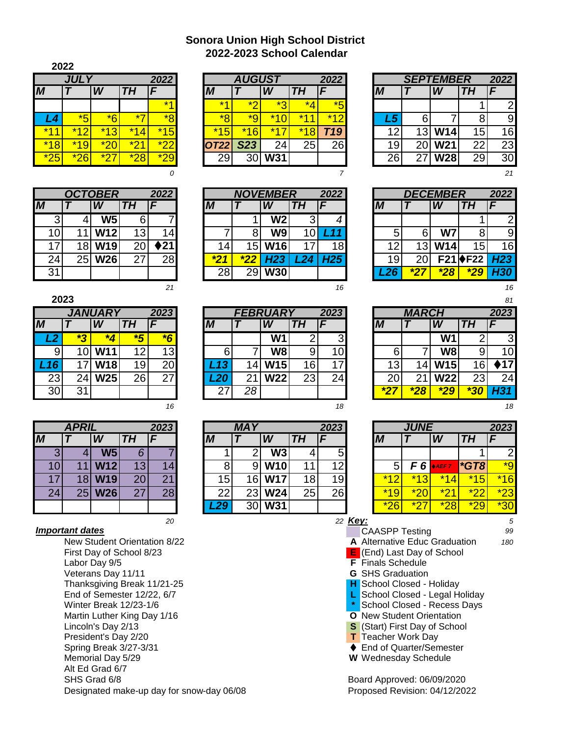## **2022-2023 School Calendar Sonora Union High School District**

| 2022  |       |                    |           |           |
|-------|-------|--------------------|-----------|-----------|
|       | 2022  |                    |           |           |
| M     |       |                    | TH        | F         |
|       |       |                    |           | $\star$ 1 |
| L4    | *5    | $\star$ $\epsilon$ | $\star^-$ | $\star$ o |
| $*11$ | $*12$ | *13                | $*14$     | $*15$     |
| $*18$ | *19   | $*$ 20             | $*21$     | $*22$     |
| $*25$ | $*26$ | $\star$ 2          | $*28$     | $^\star$  |

|    |    | <b>OCTOBER</b> |    | 2022               |
|----|----|----------------|----|--------------------|
|    |    |                | TН | F                  |
| 3  |    | <b>W5</b>      | 6  |                    |
| 10 | 11 | W12            | 13 | 14                 |
| 17 | 18 | W19            | 20 | $\blacklozenge$ 21 |
| 24 | 25 | <b>W26</b>     | 27 | 28                 |
| 31 |    |                |    |                    |

| ×<br>۰, |
|---------|
|         |

| 2023<br><i><b>JANUARY</b></i> |    |            |           |    |  |  |  |  |  |  |  |  |
|-------------------------------|----|------------|-----------|----|--|--|--|--|--|--|--|--|
|                               |    |            | <b>TH</b> | F  |  |  |  |  |  |  |  |  |
| L <sub>2</sub>                |    |            | 好         |    |  |  |  |  |  |  |  |  |
| 9                             | 10 | <b>W11</b> | 12        | 13 |  |  |  |  |  |  |  |  |
| L <sub>16</sub>               | 17 | <b>W18</b> | 19        | 20 |  |  |  |  |  |  |  |  |
| 23                            | 24 | <b>W25</b> | 26        | 27 |  |  |  |  |  |  |  |  |
| 30                            | 31 |            |           |    |  |  |  |  |  |  |  |  |
|                               |    |            |           |    |  |  |  |  |  |  |  |  |

|                |    |                 | 2023 |    |
|----------------|----|-----------------|------|----|
|                |    |                 | TН   | F  |
| $\overline{3}$ | 4  | W5              | 6    |    |
| 10             |    | W <sub>12</sub> | 13   |    |
| 17             | 18 | <b>W19</b>      | 20   | 21 |
| 24             | 25 | <b>W26</b>      | 27   | 28 |
|                |    |                 |      |    |

President's Day 2/20 End of Semester 12/22, 6/7 First Day of School 8/23 Labor Day 9/5 New Student Orientation 8/22 Veterans Day 11/11 Spring Break 3/27-3/31 Alt Ed Grad 6/7 Thanksgiving Break 11/21-25 Memorial Day 5/29 Designated make-up day for snow-day 06/08 SHS Grad 6/8 Martin Luther King Day 1/16 Winter Break 12/23-1/6 Lincoln's Day 2/13

|       |                            |                         |                | 2022                    |       | <b>AUGUST</b> |                          |                            | 2022                       |               |    | <b>SEPTEMBER</b> |                 |
|-------|----------------------------|-------------------------|----------------|-------------------------|-------|---------------|--------------------------|----------------------------|----------------------------|---------------|----|------------------|-----------------|
|       |                            | $\overline{\mathsf{W}}$ | TН             |                         | M     |               | W                        | п                          |                            |               |    | W                | <b>TH</b>       |
|       |                            |                         |                | $*4$                    | $*$   | $\star$       | $\star$ ว<br><b>SILL</b> | *4                         | $*$ $\mathsf{K}$<br>$\sim$ |               |    |                  |                 |
|       | $*$ $\mathsf{K}$<br>$\sim$ | $*6$                    | $\star$        | $*8$                    | $*$ o | *۹<br>$\sim$  | $*4\Omega$               | $*44$                      | $*40$                      | 45            |    |                  | o               |
| $*44$ | $*$ 4 $\Omega$             | $*12$<br>w              | * 4 .<br>4     | $\vert 5 \vert$<br>$*1$ | *15   | $*16$         | $*47$                    | $*1$<br>$\overline{\bf 8}$ | 719 <sub>1</sub>           | 1 ຕ<br>$\sim$ | 13 | W14              | 15 <sub>1</sub> |
| $*18$ | *19                        | $*20$                   | $\star$ n<br>- | <u>*つつ</u>              | T22   | ດາາ<br>د∠ت    | 24                       | 25                         | 26                         | 19            | 20 | W21              | 22              |
| $*25$ | $*26$                      | $*$<br>_                | <u>*28</u>     | $*29$                   | 29    | 30            | W31                      |                            |                            | 26            | 27 | <b>W28</b>       | 29              |

|                 |    | <b>OCTOBER</b> |    | 2022            |         |                 | <b>NOVEMBER</b> |     | 2022 |
|-----------------|----|----------------|----|-----------------|---------|-----------------|-----------------|-----|------|
| M               |    | W              | TН |                 | M       |                 | W               | I H |      |
| J               |    | W <sub>5</sub> | 6  |                 |         |                 | W <sub>2</sub>  |     |      |
| 10 <sub>1</sub> |    | <b>W12</b>     | 13 | 14 <sub>l</sub> |         |                 | W <sub>9</sub>  |     |      |
| 17              | 8  | <b>W19</b>     | 20 | ▶21             |         | 15 <sup>1</sup> | <b>W16</b>      |     | 18I  |
| 24              | 25 | <b>W26</b>     | 27 | 28 <sub>l</sub> | $\star$ | *22             | H <sub>23</sub> | 24  | H25  |
| 31              |    |                |    |                 | 28      | 29              | W30             |     |      |
|                 |    |                |    |                 |         |                 |                 |     |      |

*21 16 16*

|         |                 | <b>JANUARY</b>  |                         | 2023           |     |    | <b>FEBRUARY</b> |          | 2023           |      | <b>MARCH</b> |                |       | 2023 |
|---------|-----------------|-----------------|-------------------------|----------------|-----|----|-----------------|----------|----------------|------|--------------|----------------|-------|------|
| M       |                 | W               | TН                      |                | IИ  |    | W               |          |                | IМ   |              | W              | TH    |      |
| L2      | $*$<br><b>P</b> | *4              | $\overline{\mathbf{5}}$ | $\overline{6}$ |     |    | W <sub>1</sub>  |          | 3 <sub>l</sub> |      |              | W <sub>1</sub> |       |      |
| 9       |                 | <b>W11</b>      | 12                      | 13             |     |    | <b>W8</b>       |          | 10             | 6    |              | W8             | 9     |      |
| $L$ 16/ |                 | W <sub>18</sub> | 19                      | 20             | 13  |    | <b>W15</b>      | 16       | $\overline{7}$ | 13   | 14ı          | W15            | 16    |      |
| 23      | 24.             | <b>W25</b>      | 26                      | 27             | .20 |    | <b>W22</b>      | ററ<br>د∠ | 24             | 20   | 21           | <b>W22</b>     | 23    |      |
| 30      | 31              |                 |                         |                |     | 28 |                 |          |                | $*2$ | $*28$        | $*29$          | $*20$ |      |

|            |              |            |                 |      |                 |            |                          |                 |                |       |                    |            |           | 2023 |
|------------|--------------|------------|-----------------|------|-----------------|------------|--------------------------|-----------------|----------------|-------|--------------------|------------|-----------|------|
|            | <b>APRIL</b> |            |                 | 2023 |                 | <b>MAY</b> |                          |                 | 2023           |       | <b>JUNE</b>        |            |           |      |
| M          |              | W          | TН              |      | M               |            | W                        | TH              |                | M     |                    | W          | <b>TH</b> |      |
| $\sqrt{2}$ |              | W5         | 6               |      |                 |            | $\overline{\mathsf{W3}}$ |                 | 5 <sub>l</sub> |       |                    |            |           |      |
| 10         |              | <b>W12</b> | 13 <sub>l</sub> | 14   |                 |            | <b>W10</b>               |                 | 12             |       | F6'                | <b>AEF</b> | $*GTB$    |      |
|            | 8            | <b>W19</b> | 20              | 21   | 15 <sub>1</sub> | 16         | <b>W17</b>               | 18 <sub>1</sub> | 19             | $*40$ | $*42$<br><b>K.</b> | $*14$      | $*15$     |      |
| 24         | 25           | <b>W26</b> | 27              | 28   | 22              | 23         | <b>W24</b>               | 25              | 26             | $*19$ | $*20$              | $\star$ n. | $*$       |      |
|            |              |            |                 |      | <u>L29</u>      | 30         | <b>W31</b>               |                 |                | $*26$ | *27                | $*28$      | $*29$     |      |

| 2022<br><i><b>SEPTEMBER</b></i> |    |            |    |    |  |  |  |  |  |  |  |  |
|---------------------------------|----|------------|----|----|--|--|--|--|--|--|--|--|
|                                 |    |            | TΗ |    |  |  |  |  |  |  |  |  |
|                                 |    |            |    | 2  |  |  |  |  |  |  |  |  |
| L5                              | 6  |            | g  | g  |  |  |  |  |  |  |  |  |
| 12                              | 13 | <b>W14</b> | 15 | 16 |  |  |  |  |  |  |  |  |
| 19                              | 20 | W21        | 22 | 23 |  |  |  |  |  |  |  |  |
| 26                              | 27 | <b>W28</b> | 29 | 30 |  |  |  |  |  |  |  |  |

*0 7 21*

| 2022<br><i><b>DECEMBER</b></i> |    |       |                  |                 |  |  |  |  |  |  |  |
|--------------------------------|----|-------|------------------|-----------------|--|--|--|--|--|--|--|
|                                |    |       | TН               |                 |  |  |  |  |  |  |  |
|                                |    |       |                  | 2               |  |  |  |  |  |  |  |
| 5                              | 6  | W7    | 8                |                 |  |  |  |  |  |  |  |
| 12                             | 13 | W14   | 15               | 16              |  |  |  |  |  |  |  |
| 19                             | 20 |       | F21 <b>♦</b> F22 | H <sub>23</sub> |  |  |  |  |  |  |  |
| L26                            |    | $*28$ |                  | <b>H30</b>      |  |  |  |  |  |  |  |

|       |                     |            |       | 81                 |
|-------|---------------------|------------|-------|--------------------|
|       | <b><i>MARCH</i></b> |            |       | 2023               |
|       |                     |            | TΗ    | F                  |
|       |                     | W1         | 2     | 3                  |
| 6     |                     | W8         | 9     | 10                 |
| 13    | 14                  | W15        | 16    | $\blacklozenge$ 17 |
| 20    | 21                  | <b>W22</b> | 23    | 24                 |
| $*27$ | *28                 | *29        | $*30$ | H31                |

*16 18 18*

|            | <b>MAY</b> |                          |           | 2023 |
|------------|------------|--------------------------|-----------|------|
|            |            | W                        | <b>TH</b> | F    |
|            | ◠          | $\overline{\mathsf{W3}}$ |           | 5    |
| 8          |            | <b>W10</b>               | -1        | 12   |
| 15         | 16         | <b>W17</b>               | 18        | 19   |
| 22         | 23         | <b>W24</b>               | 25        | 26   |
| <b>L29</b> | 30         | W31                      |           |      |

| 20                           |                          | 22 Key:                   |                                   |  | 5   |  |  |
|------------------------------|--------------------------|---------------------------|-----------------------------------|--|-----|--|--|
| <i>Important dates</i>       |                          | <b>CAASPP Testing</b>     |                                   |  | 99  |  |  |
| New Student Orientation 8/22 |                          |                           | A Alternative Educ Graduation     |  | 180 |  |  |
| First Day of School 8/23     |                          |                           | <b>E</b> (End) Last Day of School |  |     |  |  |
| Labor Day 9/5                | <b>F</b> Finals Schedule |                           |                                   |  |     |  |  |
| Veterans Day 11/11           |                          | <b>G</b> SHS Graduation   |                                   |  |     |  |  |
| Thanksgiving Break 11/21-25  |                          |                           | <b>H</b> School Closed - Holiday  |  |     |  |  |
| End of Semester 12/22, 6/7   |                          |                           | L School Closed - Legal Holiday   |  |     |  |  |
| Winter Break 12/23-1/6       |                          |                           | School Closed - Recess Days       |  |     |  |  |
| Martin Luther King Day 1/16  |                          |                           | O New Student Orientation         |  |     |  |  |
| Lincoln's Day 2/13           |                          |                           | S (Start) First Day of School     |  |     |  |  |
| President's Day 2/20         |                          | <b>T</b> Teacher Work Day |                                   |  |     |  |  |
| Spring Break 3/27-3/31       |                          |                           | <b>End of Quarter/Semester</b>    |  |     |  |  |
|                              |                          |                           |                                   |  |     |  |  |

**W** Wednesday Schedule

Board Approved: 06/09/2020 Proposed Revision: 04/12/2022